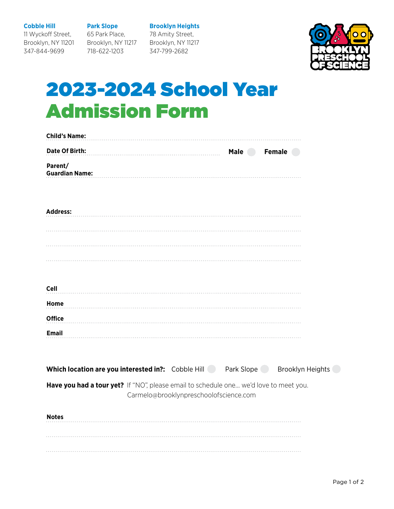**Cobble Hill**

11 Wyckoff Street,

347-844-9699

Brooklyn, NY 11201 **Park Slope** 65 Park Place, Brooklyn, NY 11217

718-622-1203

**Brooklyn Heights** 78 Amity Street, Brooklyn, NY 11217 347-799-2682



## 2023-2024 School Year Admission Form

| <b>Child's Name:</b>                                                                  |                                        |             |               |  |
|---------------------------------------------------------------------------------------|----------------------------------------|-------------|---------------|--|
| Date Of Birth:                                                                        |                                        | <b>Male</b> | <b>Female</b> |  |
| Parent/<br><b>Guardian Name:</b>                                                      |                                        |             |               |  |
| <b>Address:</b>                                                                       |                                        |             |               |  |
|                                                                                       |                                        |             |               |  |
|                                                                                       |                                        |             |               |  |
| <b>Cell</b>                                                                           |                                        |             |               |  |
| Home                                                                                  |                                        |             |               |  |
| <b>Office</b>                                                                         |                                        |             |               |  |
| <b>Email</b>                                                                          |                                        |             |               |  |
| Which location are you interested in?: Cobble Hill Park Slope Brooklyn Heights        |                                        |             |               |  |
| Have you had a tour yet? If "NO", please email to schedule one we'd love to meet you. | Carmelo@brooklynpreschoolofscience.com |             |               |  |
| <b>Notes</b>                                                                          |                                        |             |               |  |
|                                                                                       |                                        |             |               |  |